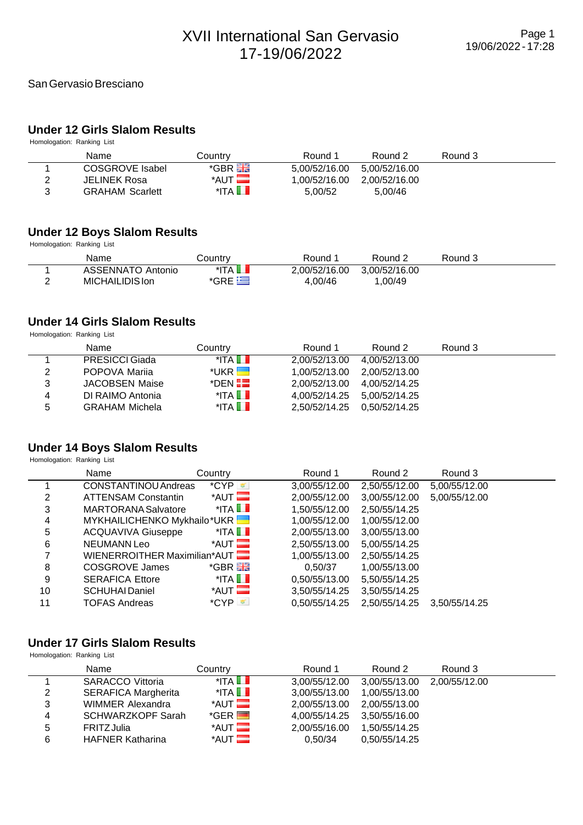# **Under 12 Girls Slalom Results**

Homologation: Ranking List

| Name                   | Countrv                 | Round 1       | Round 2       | Round 3 |  |
|------------------------|-------------------------|---------------|---------------|---------|--|
| COSGROVE Isabel        | *GBR H                  | 5,00/52/16.00 | 5.00/52/16.00 |         |  |
| JELINEK Rosa           | $*$ AUT $\blacksquare$  | 1.00/52/16.00 | 2.00/52/16.00 |         |  |
| <b>GRAHAM Scarlett</b> | $^*$ ITA $\blacksquare$ | 5.00/52       | 5.00/46       |         |  |

#### **Under 12 Boys Slalom Results**

Homologation: Ranking List

| Name                                 | Country                     | Round 1                  | Round 2                 | Round 3 |  |
|--------------------------------------|-----------------------------|--------------------------|-------------------------|---------|--|
| ASSENNATO Antonio<br>MICHAILIDIS Ion | *ITA LN<br>$*$ GRE $\equiv$ | 2.00/52/16.00<br>4.00/46 | 3.00/52/16.00<br>.00/49 |         |  |
|                                      |                             |                          |                         |         |  |

# **Under 14 Girls Slalom Results**

Homologation: Ranking List

|   | Name                  | Country                 | Round 1                     | Round 2                     | Round 3 |  |
|---|-----------------------|-------------------------|-----------------------------|-----------------------------|---------|--|
|   | <b>PRESICCI Giada</b> | $^*$ ITA $\blacksquare$ | 2,00/52/13.00               | 4.00/52/13.00               |         |  |
| 2 | POPOVA Marija         | *UKR H                  |                             | 1,00/52/13.00 2,00/52/13.00 |         |  |
| 3 | JACOBSEN Maise        | $^*$ DEN $\blacksquare$ | 2.00/52/13.00 4.00/52/14.25 |                             |         |  |
| 4 | DI RAIMO Antonia      | $^*$ ITA $\blacksquare$ | 4.00/52/14.25 5.00/52/14.25 |                             |         |  |
| 5 | <b>GRAHAM Michela</b> | $^*$ ITA $\blacksquare$ | 2.50/52/14.25 0.50/52/14.25 |                             |         |  |

# **Under 14 Boys Slalom Results**

Homologation: Ranking List

|    | Name                         | Country                 | Round 1       | Round 2       | Round 3       |
|----|------------------------------|-------------------------|---------------|---------------|---------------|
|    | <b>CONSTANTINOU Andreas</b>  | $^{\ast}$ CYP           | 3,00/55/12.00 | 2,50/55/12.00 | 5,00/55/12.00 |
| 2  | <b>ATTENSAM Constantin</b>   | $*$ AUT $\blacksquare$  | 2,00/55/12.00 | 3,00/55/12.00 | 5,00/55/12.00 |
| 3  | <b>MARTORANA Salvatore</b>   | $^*$ ITA $\blacksquare$ | 1,50/55/12.00 | 2,50/55/14.25 |               |
| 4  | MYKHAILICHENKO Mykhailo*UKR  |                         | 1,00/55/12.00 | 1,00/55/12.00 |               |
| 5  | <b>ACQUAVIVA Giuseppe</b>    | $^*$ ITA $\blacksquare$ | 2,00/55/13.00 | 3,00/55/13.00 |               |
| 6  | NEUMANN Leo                  | $*$ AUT $\blacksquare$  | 2.50/55/13.00 | 5.00/55/14.25 |               |
| 7  | WIENERROITHER Maximilian*AUT |                         | 1,00/55/13.00 | 2,50/55/14.25 |               |
| 8  | COSGROVE James               | *GBR <b>He</b>          | 0.50/37       | 1.00/55/13.00 |               |
| 9  | <b>SERAFICA Ettore</b>       | $^*$ ITA $\blacksquare$ | 0,50/55/13.00 | 5,50/55/14.25 |               |
| 10 | <b>SCHUHAI Daniel</b>        | $*$ AUT $\blacksquare$  | 3,50/55/14.25 | 3,50/55/14.25 |               |
| 11 | <b>TOFAS Andreas</b>         | $^{\ast}$ CYP           | 0.50/55/14.25 | 2.50/55/14.25 | 3.50/55/14.25 |

#### **Under 17 Girls Slalom Results**

|   | Name                       | Country                 | Round 1       | Round 2                     | Round 3 |  |
|---|----------------------------|-------------------------|---------------|-----------------------------|---------|--|
|   | <b>SARACCO Vittoria</b>    | $^*$ ITA $\blacksquare$ | 3.00/55/12.00 | 3,00/55/13.00 2,00/55/12.00 |         |  |
| 2 | <b>SERAFICA Margherita</b> | $^*$ ITA $\blacksquare$ | 3.00/55/13.00 | 1.00/55/13.00               |         |  |
| 3 | <b>WIMMER Alexandra</b>    | $*$ AUT $\blacksquare$  | 2.00/55/13.00 | 2.00/55/13.00               |         |  |
| 4 | <b>SCHWARZKOPF Sarah</b>   | $*GER$ $\blacksquare$   | 4.00/55/14.25 | 3.50/55/16.00               |         |  |
| 5 | <b>FRITZ Julia</b>         | $*$ AUT $\blacksquare$  | 2.00/55/16.00 | 1.50/55/14.25               |         |  |
| 6 | <b>HAFNER Katharina</b>    | $*$ AUT $\blacksquare$  | 0.50/34       | 0.50/55/14.25               |         |  |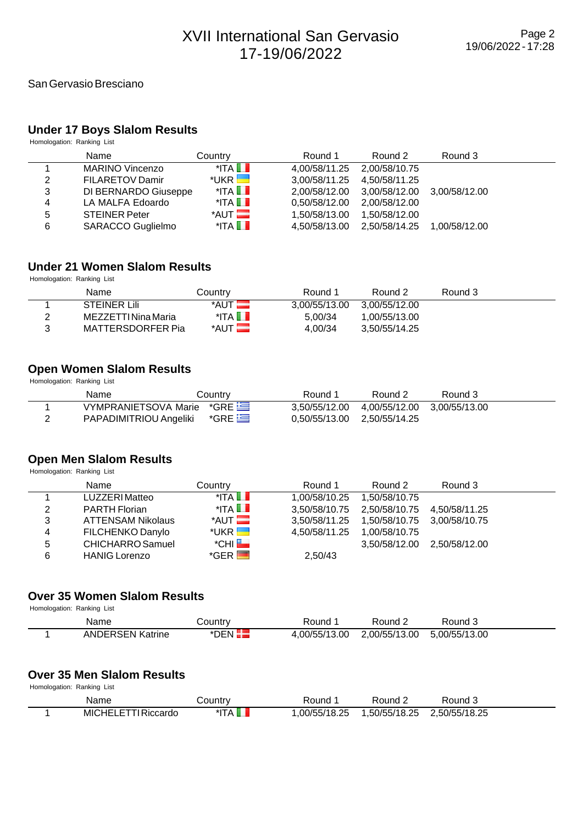#### **Under 17 Boys Slalom Results**

Homologation: Ranking List

|   | Name                   | Country                 | Round 1       | Round 2                     | Round 3       |
|---|------------------------|-------------------------|---------------|-----------------------------|---------------|
|   | <b>MARINO Vincenzo</b> | $^*$ ITA $\blacksquare$ | 4,00/58/11.25 | 2.00/58/10.75               |               |
| 2 | <b>FILARETOV Damir</b> | $*$ UKR $\Box$          | 3.00/58/11.25 | 4.50/58/11.25               |               |
| 3 | DI BERNARDO Giuseppe   | $^*$ ITA $\blacksquare$ | 2.00/58/12.00 | 3,00/58/12.00 3,00/58/12.00 |               |
| 4 | LA MALFA Edoardo       | $^*$ ITA $\blacksquare$ | 0.50/58/12.00 | 2.00/58/12.00               |               |
| 5 | <b>STEINER Peter</b>   | $*$ AUT $\blacksquare$  | 1,50/58/13.00 | 1.50/58/12.00               |               |
| 6 | SARACCO Guglielmo      | $^*$ ITA $\blacksquare$ | 4.50/58/13.00 | 2,50/58/14.25               | 1.00/58/12.00 |

#### **Under 21 Women Slalom Results**

Homologation: Ranking List

| Name                | Countrv                 | Round 1       | Round 2       | Round 3 |  |
|---------------------|-------------------------|---------------|---------------|---------|--|
| <b>STEINER Lili</b> | *AUT                    | 3.00/55/13.00 | 3.00/55/12.00 |         |  |
| MEZZETTI Nina Maria | $^*$ ITA $\blacksquare$ | 5.00/34       | .00/55/13.00  |         |  |
| MATTERSDORFER Pia   | $*$ AUT $\blacksquare$  | 4.00/34       | 3.50/55/14.25 |         |  |

#### **Open Women Slalom Results**

Homologation: Ranking List

| Name                      | Countrv | Round 1                     | Round 2                     | Round 3 |
|---------------------------|---------|-----------------------------|-----------------------------|---------|
| VYMPRANIETSOVA Marie *GRE |         | 3.50/55/12.00               | 4,00/55/12.00 3,00/55/13.00 |         |
| PAPADIMITRIOU Angeliki    | $*$ GRE | 0.50/55/13.00 2.50/55/14.25 |                             |         |

#### **Open Men Slalom Results**

Homologation: Ranking List

|   | Name                     | Country                 | Round 1       | Round 2                     | Round 3                     |  |
|---|--------------------------|-------------------------|---------------|-----------------------------|-----------------------------|--|
|   | LUZZERI Matteo           | $^*$ ITA $\blacksquare$ | 1.00/58/10.25 | 1.50/58/10.75               |                             |  |
| 2 | <b>PARTH Florian</b>     | $^*$ ITA $\Box$         | 3.50/58/10.75 | 2,50/58/10.75 4,50/58/11.25 |                             |  |
| 3 | <b>ATTENSAM Nikolaus</b> | $*$ AUT $\blacksquare$  | 3.50/58/11.25 | 1,50/58/10.75 3,00/58/10.75 |                             |  |
| 4 | FILCHENKO Danylo         | $*$ UKR $\blacksquare$  | 4,50/58/11.25 | 1.00/58/10.75               |                             |  |
| 5 | CHICHARRO Samuel         | $^*$ CHI $\blacksquare$ |               |                             | 3,50/58/12.00 2,50/58/12.00 |  |
| 6 | <b>HANIG Lorenzo</b>     | $*GER$ $\blacksquare$   | 2,50/43       |                             |                             |  |

#### **Over 35 Women Slalom Results**

Homologation: Ranking List

| Name                    | .ountr∨ت | Round         | Round $\epsilon$ | Round         |
|-------------------------|----------|---------------|------------------|---------------|
| <b>ANDERSEN Katrine</b> | *DFN     | 4.00/55/13.00 | 2.00/55/13.00    | 5.00/55/13.00 |

# **Over 35 Men Slalom Results**

| Name                                     | ∟ountr∨                | Round       | Round 2      | Round J       |  |
|------------------------------------------|------------------------|-------------|--------------|---------------|--|
| <b>MICHE'</b><br><b>I Riccardo</b><br>-- | $k$ IT<br>$\mathbf{v}$ | 00/55/18.25 | ,50/55/18.25 | .,50/55/18.25 |  |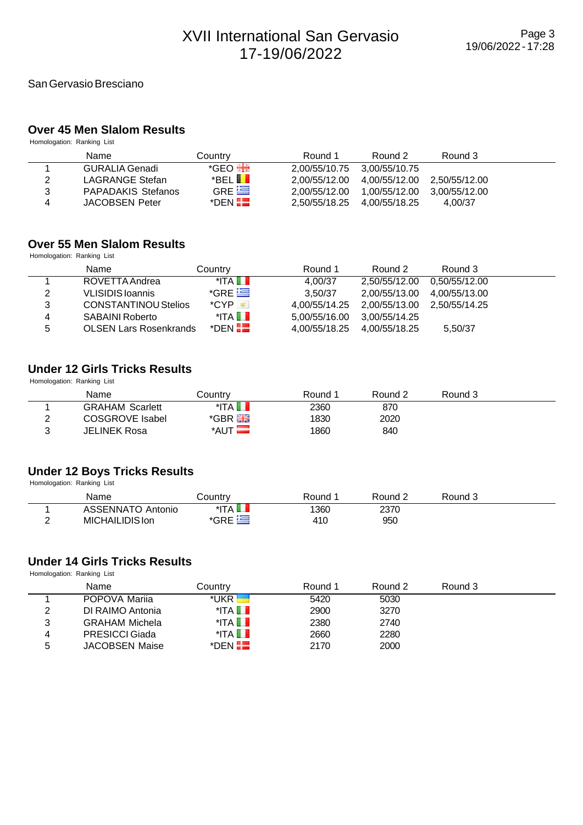#### **Over 45 Men Slalom Results**

Homologation: Ranking List

|   | Name                      | Countrv                | Round 1       | Round 2                     | Round 3       |  |
|---|---------------------------|------------------------|---------------|-----------------------------|---------------|--|
|   | GURALIA Genadi            | *GEO <del>HE</del>     | 2.00/55/10.75 | 3.00/55/10.75               |               |  |
| 2 | LAGRANGE Stefan           | $E$ BEL $\blacksquare$ | 2.00/55/12.00 | 4.00/55/12.00 2.50/55/12.00 |               |  |
| 3 | <b>PAPADAKIS Stefanos</b> | GRE $\equiv$           | 2.00/55/12.00 | 1.00/55/12.00               | 3.00/55/12.00 |  |
| 4 | <b>JACOBSEN Peter</b>     | $*$ DEN $\blacksquare$ | 2.50/55/18.25 | 4.00/55/18.25               | 4.00/37       |  |

#### **Over 55 Men Slalom Results**

Homologation: Ranking List

|   | Name                          | Country                 | Round 1                     | Round 2                     | Round 3       |  |
|---|-------------------------------|-------------------------|-----------------------------|-----------------------------|---------------|--|
|   | ROVETTA Andrea                | $^*$ ITA $\blacksquare$ | 4.00/37                     | 2.50/55/12.00               | 0.50/55/12.00 |  |
| 2 | VLISIDIS Ioannis              | $*GRE$                  | 3.50/37                     | 2.00/55/13.00               | 4.00/55/13.00 |  |
| 3 | <b>CONSTANTINOU Stelios</b>   | $^{\ast}$ CYP           | 4.00/55/14.25               | 2.00/55/13.00 2.50/55/14.25 |               |  |
| 4 | SABAINI Roberto               | $^*$ ITA $\blacksquare$ | 5.00/55/16.00               | 3.00/55/14.25               |               |  |
| 5 | <b>OLSEN Lars Rosenkrands</b> | $^*$ DEN $\blacksquare$ | 4.00/55/18.25 4.00/55/18.25 |                             | 5,50/37       |  |

### **Under 12 Girls Tricks Results**

Homologation: Ranking List

|   | Name                   | Countr∨        | Round 1 | Round 2 | Round 3 |  |
|---|------------------------|----------------|---------|---------|---------|--|
|   | <b>GRAHAM Scarlett</b> | $^*$ ita N     | 2360    | 870     |         |  |
| ⌒ | COSGROVE Isabel        | *GBR <b>Ha</b> | 1830    | 2020    |         |  |
| ⌒ | JELINEK Rosa           | *AUT <b>N</b>  | 1860    | 840     |         |  |

# **Under 12 Boys Tricks Results**

Homologation: Ranking List

| Name                        | ountryـ | Round | Round | Round 3 |  |
|-----------------------------|---------|-------|-------|---------|--|
| <b>ASSENNATO</b><br>Antonio | *ITA    | 1360  | 2370  |         |  |
| MICHAILIDIS Ion             | *GRE    | 410   | 950   |         |  |

# **Under 14 Girls Tricks Results**

|   | Name                  | Countrv                 | Round 1 | Round 2 | Round 3 |  |
|---|-----------------------|-------------------------|---------|---------|---------|--|
|   | POPOVA Marija         | *UKR                    | 5420    | 5030    |         |  |
| 2 | DI RAIMO Antonia      | $^*$ ITA $\blacksquare$ | 2900    | 3270    |         |  |
| 3 | <b>GRAHAM Michela</b> | $^*$ ITA $\blacksquare$ | 2380    | 2740    |         |  |
| 4 | <b>PRESICCI Giada</b> | $^*$ ITA $\blacksquare$ | 2660    | 2280    |         |  |
| 5 | <b>JACOBSEN Maise</b> | *DEN $\blacksquare$     | 2170    | 2000    |         |  |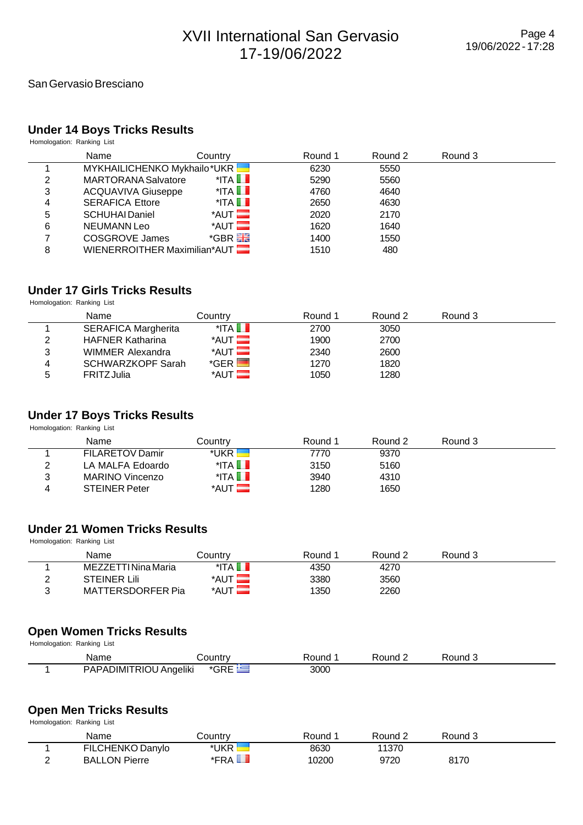#### San Gervasio Bresciano

### **Under 14 Boys Tricks Results**

Homologation: Ranking List

|   | Name                         | Country                 | Round 1 | Round 2 | Round 3 |  |
|---|------------------------------|-------------------------|---------|---------|---------|--|
|   | MYKHAILICHENKO Mykhailo*UKR  |                         | 6230    | 5550    |         |  |
| 2 | <b>MARTORANA Salvatore</b>   | $^*$ ITA $\blacksquare$ | 5290    | 5560    |         |  |
| 3 | <b>ACQUAVIVA Giuseppe</b>    | $^*$ ITA $\blacksquare$ | 4760    | 4640    |         |  |
| 4 | <b>SERAFICA Ettore</b>       | $^*$ ITA $\blacksquare$ | 2650    | 4630    |         |  |
| 5 | <b>SCHUHAI Daniel</b>        | $*$ AUT $\blacksquare$  | 2020    | 2170    |         |  |
| 6 | NEUMANN Leo                  | $*$ AUT $\blacksquare$  | 1620    | 1640    |         |  |
| 7 | <b>COSGROVE James</b>        | $*$ GBR $\frac{1}{25}$  | 1400    | 1550    |         |  |
| 8 | WIENERROITHER Maximilian*AUT |                         | 1510    | 480     |         |  |

# **Under 17 Girls Tricks Results**

Homologation: Ranking List

|   | Name                       | Countrv                        | Round 1 | Round 2 | Round 3 |  |
|---|----------------------------|--------------------------------|---------|---------|---------|--|
|   | <b>SERAFICA Margherita</b> | $^*$ ITA $\blacksquare$        | 2700    | 3050    |         |  |
| っ | <b>HAFNER Katharina</b>    | $*$ AUT $\blacksquare$         | 1900    | 2700    |         |  |
| 3 | WIMMER Alexandra           | $*$ AUT $\blacksquare$         | 2340    | 2600    |         |  |
| 4 | <b>SCHWARZKOPF Sarah</b>   | $^*$ GER $\blacktriangleright$ | 1270    | 1820    |         |  |
| 5 | <b>FRITZ Julia</b>         | $*$ AUT $\blacksquare$         | 1050    | 1280    |         |  |

# **Under 17 Boys Tricks Results**

Homologation: Ranking List

|          | Name                   | Countrv                 | Round 1 | Round 2 | Round 3 |  |
|----------|------------------------|-------------------------|---------|---------|---------|--|
|          | <b>FILARETOV Damir</b> | *UKR                    | 7770    | 9370    |         |  |
| ົ        | LA MALFA Edoardo       | $^*$ ITA $\blacksquare$ | 3150    | 5160    |         |  |
| ົ        | MARINO Vincenzo        | $^*$ ITA $\blacksquare$ | 3940    | 4310    |         |  |
| $\Delta$ | <b>STEINER Peter</b>   | $*$ AUT $\equiv$        | 1280    | 1650    |         |  |

# **Under 21 Women Tricks Results**

Homologation: Ranking List

|   | Name                | Countrv                 | Round 1 | Round 2 | Round 3 |  |
|---|---------------------|-------------------------|---------|---------|---------|--|
|   | MEZZETTI Nina Maria | $^*$ ITA $\blacksquare$ | 4350    | 4270    |         |  |
|   | <b>STEINER Lili</b> | *AUT                    | 3380    | 3560    |         |  |
| ⌒ | MATTERSDORFER Pia   | *AUT                    | 1350    | 2260    |         |  |

#### **Open Women Tricks Results**

Homologation: Ranking List

| Name                   | ا∨ountr∨ | Round | Round $\sim$ | Round J |
|------------------------|----------|-------|--------------|---------|
| PAPADIMITRIOU Angeliki | *GRE     | 3000  |              |         |

#### **Open Men Tricks Results**

| Name                 | شountr∨                | Round | Round 2 | Round 3 |  |
|----------------------|------------------------|-------|---------|---------|--|
| FILCHENKO Danylo     | *UKR                   | 8630  | 11370   |         |  |
| <b>BALLON Pierre</b> | $*$ FRA $\blacksquare$ | 10200 | 9720    | 8170    |  |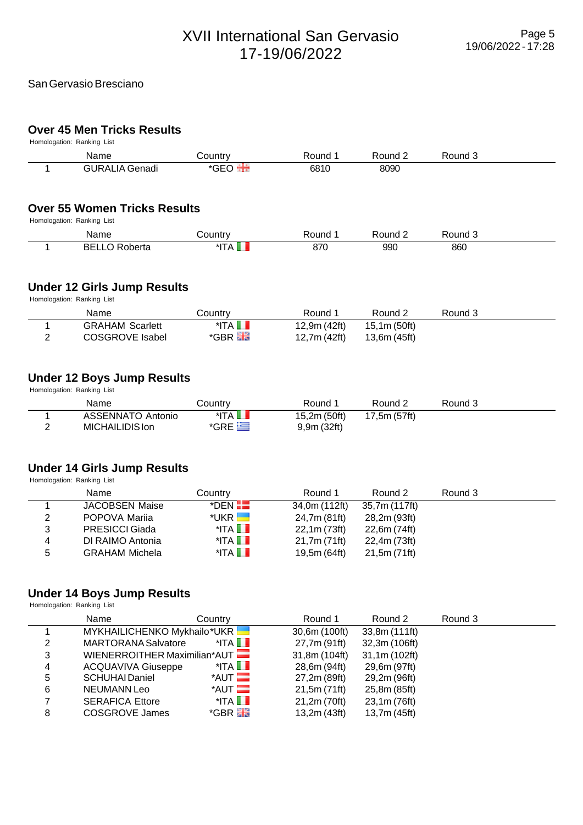# **Over 45 Men Tricks Results**

| Homologation: Ranking List |      |  |  |
|----------------------------|------|--|--|
|                            | Name |  |  |

|                | Name                                                             | Country                                     | Round 1                     | Round 2            | Round 3 |  |
|----------------|------------------------------------------------------------------|---------------------------------------------|-----------------------------|--------------------|---------|--|
|                | <b>GURALIA Genadi</b>                                            | $*$ GEO                                     | 6810                        | 8090               |         |  |
|                | <b>Over 55 Women Tricks Results</b>                              |                                             |                             |                    |         |  |
|                | Homologation: Ranking List                                       |                                             | Round 1                     | Round 2            | Round 3 |  |
|                | Name                                                             | Country                                     |                             |                    |         |  |
|                | <b>BELLO Roberta</b>                                             | *ITA <b>II</b>                              | 870                         | 990                | 860     |  |
|                | <b>Under 12 Girls Jump Results</b><br>Homologation: Ranking List |                                             |                             |                    |         |  |
|                | Name                                                             | Country                                     | Round 1                     | Round <sub>2</sub> | Round 3 |  |
|                | <b>GRAHAM Scarlett</b>                                           | $^*$ ITA $\blacksquare$                     | 12,9m (42ft)                | 15,1m (50ft)       |         |  |
| 2              | <b>COSGROVE Isabel</b>                                           | *GBR Ha                                     | 12,7m (42ft)                | 13,6m (45ft)       |         |  |
|                | <b>Under 12 Boys Jump Results</b><br>Homologation: Ranking List  |                                             |                             |                    |         |  |
|                | Name                                                             | Country                                     | Round 1                     | Round <sub>2</sub> | Round 3 |  |
| $\overline{2}$ | <b>ASSENNATO Antonio</b><br>MICHAILIDIS Ion                      | $^*$ ITA $\blacksquare$<br>$*$ GRE $\equiv$ | 15,2m (50ft)<br>9,9m (32ft) | 17,5m (57ft)       |         |  |
|                | <b>Under 14 Girls Jump Results</b><br>Homologation: Ranking List |                                             |                             |                    |         |  |

|   | Name                  | Country                 | Round 1       | Round 2       | Round 3 |  |
|---|-----------------------|-------------------------|---------------|---------------|---------|--|
|   | <b>JACOBSEN Maise</b> | $^*$ DEN $H$            | 34,0m (112ft) | 35,7m (117ft) |         |  |
| 2 | POPOVA Mariia         | $^*$ UKR $\blacksquare$ | 24,7m (81ft)  | 28,2m (93ft)  |         |  |
| 3 | <b>PRESICCI Giada</b> | $^*$ ITA $\blacksquare$ | 22,1m (73ft)  | 22,6m (74ft)  |         |  |
| 4 | DI RAIMO Antonia      | $^*$ ITA $\blacksquare$ | 21,7m (71ft)  | 22,4m (73ft)  |         |  |
| 5 | <b>GRAHAM Michela</b> | $^*$ ITA $\blacksquare$ | 19,5m (64ft)  | 21,5m (71ft)  |         |  |

# **Under 14 Boys Jump Results**

|   | Name                         | Country                 | Round 1       | Round 2       | Round 3 |  |
|---|------------------------------|-------------------------|---------------|---------------|---------|--|
|   | MYKHAILICHENKO Mykhailo*UKR  |                         | 30,6m (100ft) | 33,8m (111ft) |         |  |
| 2 | <b>MARTORANA Salvatore</b>   | $^*$ ITA $\blacksquare$ | 27,7m (91ft)  | 32,3m (106ft) |         |  |
| 3 | WIENERROITHER Maximilian*AUT |                         | 31,8m (104ft) | 31,1m (102ft) |         |  |
| 4 | <b>ACQUAVIVA Giuseppe</b>    | $^*$ ITA $\Box$         | 28,6m (94ft)  | 29,6m (97ft)  |         |  |
| 5 | <b>SCHUHAI Daniel</b>        | $*$ AUT $\blacksquare$  | 27,2m (89ft)  | 29,2m (96ft)  |         |  |
| 6 | <b>NEUMANN Leo</b>           | $*$ AUT $\blacksquare$  | 21,5m (71ft)  | 25,8m (85ft)  |         |  |
| 7 | <b>SERAFICA Ettore</b>       | $^*$ ITA $\Box$         | 21,2m (70ft)  | 23,1m (76ft)  |         |  |
| 8 | COSGROVE James               | $*$ GBR $\frac{1}{2}$   | 13,2m (43ft)  | 13,7m (45ft)  |         |  |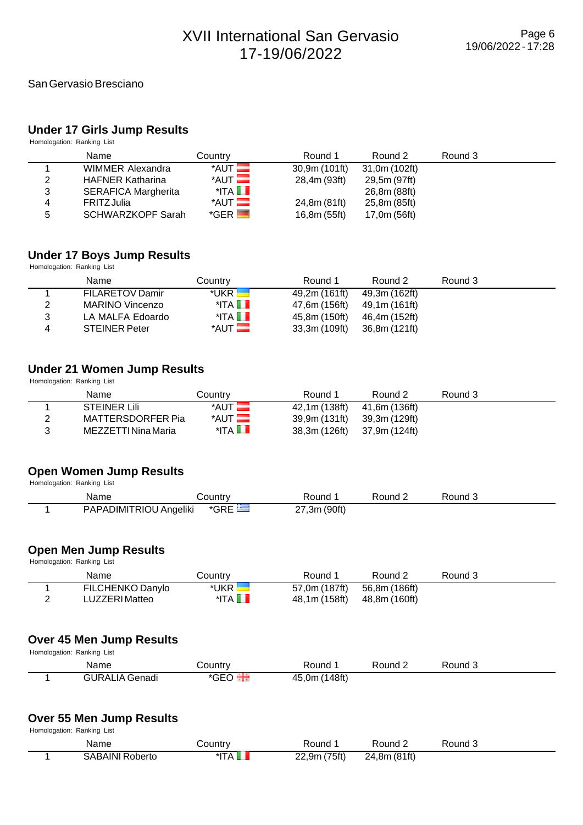#### **Under 17 Girls Jump Results**

Homologation: Ranking List

|   | Name                       | Country                 | Round 1       | Round 2       | Round 3 |  |
|---|----------------------------|-------------------------|---------------|---------------|---------|--|
|   | WIMMER Alexandra           | $*$ AUT $\blacksquare$  | 30,9m (101ft) | 31,0m (102ft) |         |  |
| 2 | <b>HAFNER Katharina</b>    | $*$ AUT $\blacksquare$  | 28,4m (93ft)  | 29,5m (97ft)  |         |  |
| 3 | <b>SERAFICA Margherita</b> | $^*$ ITA $\blacksquare$ |               | 26,8m (88ft)  |         |  |
| 4 | <b>FRITZJulia</b>          | $*$ AUT $\blacksquare$  | 24,8m (81ft)  | 25,8m (85ft)  |         |  |
| 5 | <b>SCHWARZKOPF Sarah</b>   | $*GER$ $\blacksquare$   | 16,8m (55ft)  | 17,0m (56ft)  |         |  |

#### **Under 17 Boys Jump Results**

Homologation: Ranking List

|   | Name                   | Country                 | Round 1       | Round 2       | Round 3 |  |
|---|------------------------|-------------------------|---------------|---------------|---------|--|
|   | <b>FILARETOV Damir</b> | *UKR L                  | 49,2m (161ft) | 49,3m (162ft) |         |  |
| 2 | MARINO Vincenzo        | $^*$ ITA $\blacksquare$ | 47,6m (156ft) | 49.1m (161ft) |         |  |
| 3 | LA MALFA Edoardo       | $^*$ ITA $\blacksquare$ | 45.8m (150ft) | 46,4m (152ft) |         |  |
| 4 | <b>STEINER Peter</b>   | $*$ AUT $\blacksquare$  | 33,3m (109ft) | 36.8m (121ft) |         |  |

#### **Under 21 Women Jump Results**

Homologation: Ranking List

| Name                | Countrv                | Round 1       | Round 2       | Round 3 |  |
|---------------------|------------------------|---------------|---------------|---------|--|
| <b>STEINER Lili</b> | $*$ AUT $\blacksquare$ | 42,1m (138ft) | 41,6m (136ft) |         |  |
| MATTERSDORFER Pia   | $*$ AUT $\blacksquare$ | 39,9m (131ft) | 39,3m (129ft) |         |  |
| MEZZETTI Nina Maria | $^*$ ITA $\Box$        | 38,3m (126ft) | 37,9m (124ft) |         |  |

#### **Open Women Jump Results**

Homologation: Ranking List

| Name                   | ∶ountrv | Round        | Round 2 | Round |
|------------------------|---------|--------------|---------|-------|
| PAPADIMITRIOU Angeliki | *GRE    | 27,3m (90ft) |         |       |

#### **Open Men Jump Results**

Homologation: Ranking List

| Name             | Country                 | Round 1       | Round 2       | Round 3 |  |
|------------------|-------------------------|---------------|---------------|---------|--|
| FILCHENKO Danylo | *UKR                    | 57,0m (187ft) | 56,8m (186ft) |         |  |
| LUZZERI Matteo   | $^*$ ITA $\blacksquare$ | 48,1m (158ft) | 48,8m (160ft) |         |  |

#### **Over 45 Men Jump Results** Homologation: Ranking List

| TIUTIUIUUJAIUTI. NATINITY LISL |                       |                |               |         |         |  |  |  |
|--------------------------------|-----------------------|----------------|---------------|---------|---------|--|--|--|
|                                | Name                  | <b>Country</b> | Round         | Round 2 | Round 3 |  |  |  |
|                                | <b>GURALIA Genadi</b> | *GEO           | 45,0m (148ft) |         |         |  |  |  |

#### **Over 55 Men Jump Results**

| Name                   | こountry | Round        | Round 2      | Round 3 |  |
|------------------------|---------|--------------|--------------|---------|--|
| <b>SABAINI Roberto</b> | *IT A   | 22,9m (75ft) | 24,8m (81ft) |         |  |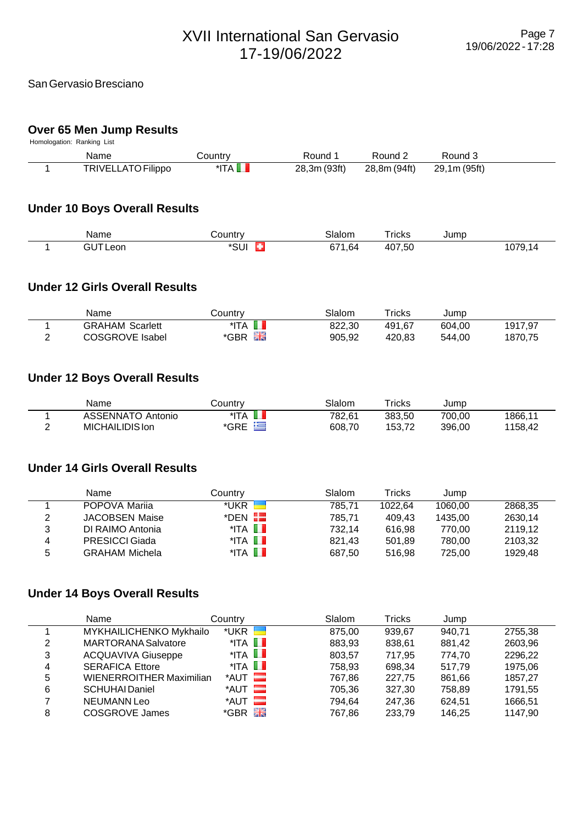#### San Gervasio Bresciano

#### **Over 65 Men Jump Results**

Homologation: Ranking List

| Name               | شountr∨                 | Round 1      | Round 2      | Round 3      |  |
|--------------------|-------------------------|--------------|--------------|--------------|--|
| TRIVELLATO Filippo | $^*$ ITA $\blacksquare$ | 28,3m (93ft) | 28,8m (94ft) | 29,1m (95ft) |  |

### **Under 10 Boys Overall Results**

| Name                                           | `∩untrv | Slalom            | ⊺ricks           | ump |          |
|------------------------------------------------|---------|-------------------|------------------|-----|----------|
| $\overline{\phantom{a}}$<br>eon<br>. .<br>____ | 'SUI    | .64<br>c 74<br>07 | E O<br>ΛΙ<br>JC, |     | $\Delta$ |

#### **Under 12 Girls Overall Results**

| Name                   | Country   | Slalom | $r$ ricks | Jump   |         |
|------------------------|-----------|--------|-----------|--------|---------|
| <b>GRAHAM Scarlett</b> | *ITA      | 822.30 | 491.67    | 604.00 | 1917,97 |
| COSGROVE Isabel        | 噐<br>*GBR | 905.92 | 420.83    | 544.00 | 1870,75 |

#### **Under 12 Boys Overall Results**

| Name              | こountrv | Slalom | $\mathsf{r}_{\mathsf{rickS}}$ | Jump   |         |
|-------------------|---------|--------|-------------------------------|--------|---------|
| ASSENNATO Antonio | *ITA    | 782,61 | 383.50                        | 700.00 | 1866.11 |
| MICHAILIDIS Ion   | *GRE    | 608,70 | 153.72                        | 396.00 | 1158.42 |

### **Under 14 Girls Overall Results**

|   | Name                  | Country                 | Slalom | Tricks  | Jump    |         |
|---|-----------------------|-------------------------|--------|---------|---------|---------|
|   | POPOVA Marija         | *UKR ⊾                  | 785.71 | 1022.64 | 1060.00 | 2868,35 |
| 2 | <b>JACOBSEN Maise</b> | *DEN HE                 | 785.71 | 409.43  | 1435.00 | 2630.14 |
| 3 | DI RAIMO Antonia      | $^*$ ITA $\blacksquare$ | 732.14 | 616.98  | 770.00  | 2119.12 |
| 4 | <b>PRESICCI Giada</b> | $^*$ ITA $\blacksquare$ | 821.43 | 501.89  | 780.00  | 2103.32 |
| 5 | <b>GRAHAM Michela</b> | $^*$ ita in             | 687.50 | 516.98  | 725.00  | 1929.48 |

### **Under 14 Boys Overall Results**

|   | Name                            | Countrv                              | Slalom | Tricks | Jump   |         |
|---|---------------------------------|--------------------------------------|--------|--------|--------|---------|
|   | MYKHAILICHENKO Mykhailo         | *UKR                                 | 875.00 | 939.67 | 940.71 | 2755.38 |
| 2 | <b>MARTORANA Salvatore</b>      | $^*$ ITA $\blacksquare$              | 883,93 | 838,61 | 881,42 | 2603.96 |
| 3 | <b>ACQUAVIVA Giuseppe</b>       | $^*$ ITA $\Box$                      | 803.57 | 717.95 | 774.70 | 2296.22 |
| 4 | <b>SERAFICA Ettore</b>          | $^*$ ITA $\Box$                      | 758.93 | 698.34 | 517.79 | 1975.06 |
| 5 | <b>WIENERROITHER Maximilian</b> | $*$ AUT $\qquad \qquad \blacksquare$ | 767.86 | 227.75 | 861,66 | 1857.27 |
| 6 | <b>SCHUHAI Daniel</b>           | $*$ AUT $\qquad \qquad \blacksquare$ | 705,36 | 327,30 | 758,89 | 1791,55 |
|   | <b>NEUMANN Leo</b>              | $*$ AUT $\equiv$                     | 794,64 | 247,36 | 624,51 | 1666.51 |
| 8 | <b>COSGROVE James</b>           | $*$ GBR $\frac{1}{200}$              | 767.86 | 233,79 | 146.25 | 1147,90 |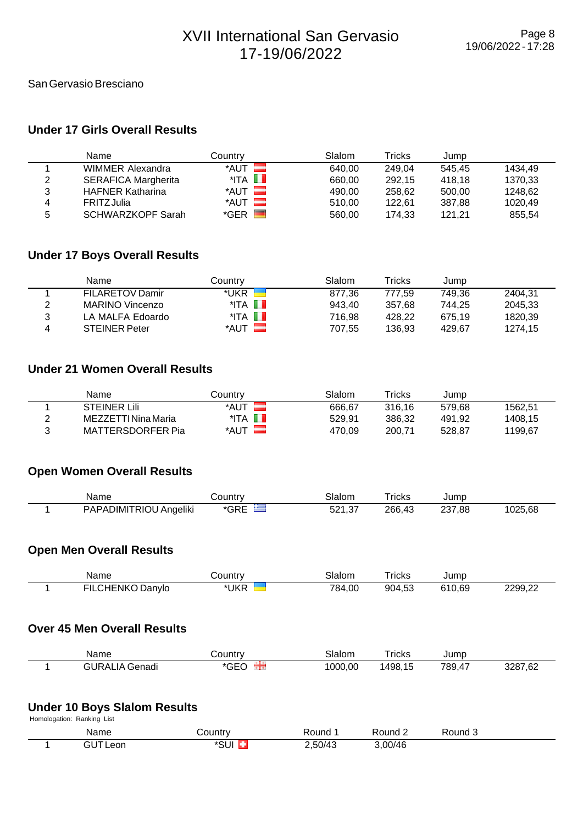#### San Gervasio Bresciano

### **Under 17 Girls Overall Results**

|   | Name                       | Countrv                 | Slalom | Tricks | Jump   |         |
|---|----------------------------|-------------------------|--------|--------|--------|---------|
|   | WIMMER Alexandra           | $*$ AUT $\blacksquare$  | 640.00 | 249.04 | 545.45 | 1434.49 |
| 2 | <b>SERAFICA Margherita</b> | $^*$ ITA $\blacksquare$ | 660.00 | 292.15 | 418.18 | 1370.33 |
| 3 | <b>HAFNER Katharina</b>    | $*$ AUT $\equiv$        | 490.00 | 258.62 | 500.00 | 1248.62 |
| 4 | <b>FRITZJulia</b>          | $*$ AUT $\blacksquare$  | 510.00 | 122.61 | 387.88 | 1020.49 |
| 5 | <b>SCHWARZKOPF Sarah</b>   | $*GER$ $\blacksquare$   | 560.00 | 174.33 | 121.21 | 855,54  |

# **Under 17 Boys Overall Results**

|   | Name                   | Countrv                 | Slalom | Tricks | Jump   |         |
|---|------------------------|-------------------------|--------|--------|--------|---------|
|   | <b>FILARETOV Damir</b> | *UKR                    | 877.36 | 777.59 | 749.36 | 2404.31 |
| 2 | MARINO Vincenzo        | $^*$ ita $\blacksquare$ | 943.40 | 357.68 | 744.25 | 2045.33 |
| 3 | LA MALFA Edoardo       | $^*$ ITA $\blacksquare$ | 716.98 | 428.22 | 675.19 | 1820.39 |
| 4 | <b>STEINER Peter</b>   | *AUT                    | 707.55 | 136.93 | 429.67 | 1274.15 |

#### **Under 21 Women Overall Results**

| Name                | Countrv | Slalom | $\mathsf{r}_\mathsf{rickS}$ | Jump   |         |
|---------------------|---------|--------|-----------------------------|--------|---------|
| <b>STEINER Lili</b> | *AUT    | 666.67 | 316.16                      | 579.68 | 1562.51 |
| MEZZETTI Nina Maria | *ITA    | 529.91 | 386.32                      | 491.92 | 1408.15 |
| MATTERSDORFER Pia   | *AUT    | 470.09 | 200.71                      | 528.87 | 1199.67 |

# **Open Women Overall Results**

| Name                   | `ountrv | 3lalom               | ⊺ricks | lump             |        |
|------------------------|---------|----------------------|--------|------------------|--------|
| PAPADIMITRIOU Angeliki | ---     | $\sim$<br>521.<br>ັ້ | 266,43 | 237.88<br>$\sim$ | 025.68 |

#### **Open Men Overall Results**

| Name             | こountry | Slalom | ™ricks | Jump   |         |
|------------------|---------|--------|--------|--------|---------|
| FILCHENKO Danylo | *UKR    | 784,00 | 904,53 | 610,69 | 2299.22 |

## **Over 45 Men Overall Results**

| Name                         | ∶ountrv                    | Slalom  | $\overline{\phantom{a}}$<br>ricks | Jump                   |                           |
|------------------------------|----------------------------|---------|-----------------------------------|------------------------|---------------------------|
| IR AI<br>IΔ<br>Genadi<br>. . | $\sim$ $\sim$ $\sim$<br>-- | 1000,00 | 1498,                             | 789,<br>$\overline{ }$ | 3287,62<br>7,6∠<br>$\sim$ |

### **Under 10 Boys Slalom Results**

| Homologation: Ranking List |              |         |         |         |         |  |  |
|----------------------------|--------------|---------|---------|---------|---------|--|--|
|                            | Name         | Country | Round   | Round 2 | Round 3 |  |  |
|                            | GUTI<br>Leon | *SUI    | 2,50/43 | 3,00/46 |         |  |  |